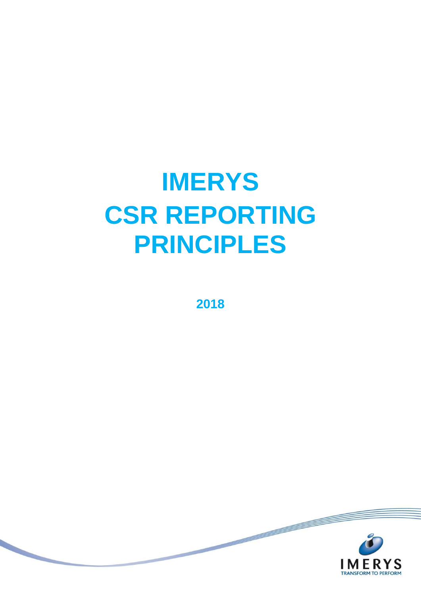# **IMERYS CSR REPORTING PRINCIPLES**

2018

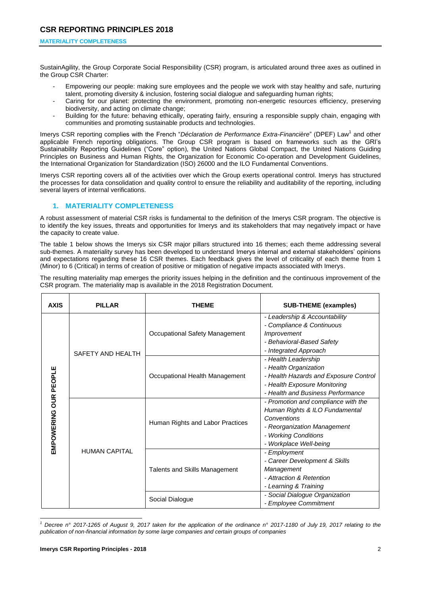SustainAgility, the Group Corporate Social Responsibility (CSR) program, is articulated around three axes as outlined in the Group CSR Charter:

- Empowering our people: making sure employees and the people we work with stay healthy and safe, nurturing talent, promoting diversity & inclusion, fostering social dialogue and safeguarding human rights;
- Caring for our planet: protecting the environment, promoting non-energetic resources efficiency, preserving biodiversity, and acting on climate change;
- Building for the future: behaving ethically, operating fairly, ensuring a responsible supply chain, engaging with communities and promoting sustainable products and technologies.

Imerys CSR reporting complies with the French "Déclaration de Performance Extra-Financière" (DPEF) Law<sup>1</sup> and other applicable French reporting obligations. The Group CSR program is based on frameworks such as the GRI's Sustainability Reporting Guidelines ("Core" option), the United Nations Global Compact, the United Nations Guiding Principles on Business and Human Rights, the Organization for Economic Co-operation and Development Guidelines, the International Organization for Standardization (ISO) 26000 and the ILO Fundamental Conventions.

Imerys CSR reporting covers all of the activities over which the Group exerts operational control. Imerys has structured the processes for data consolidation and quality control to ensure the reliability and auditability of the reporting, including several layers of internal verifications.

# **1. MATERIALITY COMPLETENESS**

A robust assessment of material CSR risks is fundamental to the definition of the Imerys CSR program. The objective is to identify the key issues, threats and opportunities for Imerys and its stakeholders that may negatively impact or have the capacity to create value.

The table 1 below shows the Imerys six CSR major pillars structured into 16 themes; each theme addressing several sub-themes. A materiality survey has been developed to understand Imerys internal and external stakeholders' opinions and expectations regarding these 16 CSR themes. Each feedback gives the level of criticality of each theme from 1 (Minor) to 6 (Critical) in terms of creation of positive or mitigation of negative impacts associated with Imerys.

The resulting materiality map emerges the priority issues helping in the definition and the continuous improvement of the CSR program. The materiality map is available in the 2018 Registration Document.

| <b>AXIS</b>                  | <b>PILLAR</b>        | <b>THEME</b>                     | <b>SUB-THEME (examples)</b>                                                                                                                                           |
|------------------------------|----------------------|----------------------------------|-----------------------------------------------------------------------------------------------------------------------------------------------------------------------|
| <b>EMPOWERING OUR PEOPLE</b> | SAFETY AND HEALTH    | Occupational Safety Management   | - Leadership & Accountability<br>- Compliance & Continuous<br><i>Improvement</i><br>- Behavioral-Based Safety<br>- Integrated Approach                                |
|                              |                      | Occupational Health Management   | - Health Leadership<br>- Health Organization<br>- Health Hazards and Exposure Control<br>- Health Exposure Monitoring<br>- Health and Business Performance            |
|                              | <b>HUMAN CAPITAL</b> | Human Rights and Labor Practices | - Promotion and compliance with the<br>Human Rights & ILO Fundamental<br>Conventions<br>- Reorganization Management<br>- Working Conditions<br>- Workplace Well-being |
|                              |                      | Talents and Skills Management    | - Employment<br>- Career Development & Skills<br>Management<br>- Attraction & Retention<br>- Learning & Training                                                      |
|                              |                      | Social Dialogue                  | - Social Dialogue Organization<br>- Employee Commitment                                                                                                               |

-*<sup>1</sup> Decree n° 2017-1265 of August 9, 2017 taken for the application of the ordinance n° 2017-1180 of July 19, 2017 relating to the publication of non-financial information by some large companies and certain groups of companies*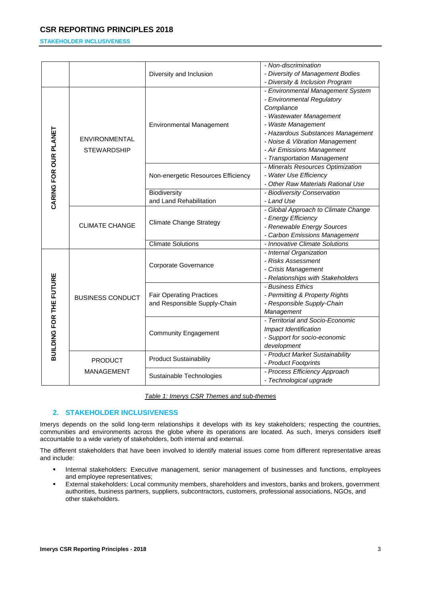## **STAKEHOLDER INCLUSIVENESS**

|                                |                                     | Diversity and Inclusion            | - Non-discrimination                |
|--------------------------------|-------------------------------------|------------------------------------|-------------------------------------|
|                                |                                     |                                    | - Diversity of Management Bodies    |
|                                |                                     |                                    | - Diversity & Inclusion Program     |
|                                | ENVIRONMENTAL<br><b>STEWARDSHIP</b> | <b>Environmental Management</b>    | - Environmental Management System   |
|                                |                                     |                                    | - Environmental Regulatory          |
|                                |                                     |                                    | Compliance                          |
|                                |                                     |                                    | - Wastewater Management             |
|                                |                                     |                                    | - Waste Management                  |
|                                |                                     |                                    | - Hazardous Substances Management   |
|                                |                                     |                                    | - Noise & Vibration Management      |
|                                |                                     |                                    | - Air Emissions Management          |
|                                |                                     |                                    | - Transportation Management         |
|                                |                                     |                                    | - Minerals Resources Optimization   |
| CARING FOR OUR PLANET          |                                     | Non-energetic Resources Efficiency | - Water Use Efficiency              |
|                                |                                     |                                    | - Other Raw Materials Rational Use  |
|                                |                                     | Biodiversity                       | - Biodiversity Conservation         |
|                                |                                     | and Land Rehabilitation            | - Land Use                          |
|                                | <b>CLIMATE CHANGE</b>               | <b>Climate Change Strategy</b>     | - Global Approach to Climate Change |
|                                |                                     |                                    | - Energy Efficiency                 |
|                                |                                     |                                    | - Renewable Energy Sources          |
|                                |                                     |                                    | - Carbon Emissions Management       |
|                                |                                     | <b>Climate Solutions</b>           | - Innovative Climate Solutions      |
|                                | <b>BUSINESS CONDUCT</b>             | Corporate Governance               | - Internal Organization             |
|                                |                                     |                                    | - Risks Assessment                  |
|                                |                                     |                                    | - Crisis Management                 |
|                                |                                     |                                    | - Relationships with Stakeholders   |
|                                |                                     | <b>Fair Operating Practices</b>    | - Business Ethics                   |
|                                |                                     |                                    | - Permitting & Property Rights      |
|                                |                                     | and Responsible Supply-Chain       | - Responsible Supply-Chain          |
|                                |                                     |                                    | Management                          |
|                                |                                     | <b>Community Engagement</b>        | - Territorial and Socio-Economic    |
|                                |                                     |                                    | Impact Identification               |
|                                |                                     |                                    | - Support for socio-economic        |
| <b>BUILDING FOR THE FUTURE</b> |                                     |                                    | development                         |
|                                | <b>PRODUCT</b><br>MANAGEMENT        | <b>Product Sustainability</b>      | - Product Market Sustainability     |
|                                |                                     |                                    | - Product Footprints                |
|                                |                                     | Sustainable Technologies           | - Process Efficiency Approach       |
|                                |                                     |                                    | - Technological upgrade             |

*Table 1: Imerys CSR Themes and sub-themes*

# **2. STAKEHOLDER INCLUSIVENESS**

Imerys depends on the solid long-term relationships it develops with its key stakeholders; respecting the countries, communities and environments across the globe where its operations are located. As such, Imerys considers itself accountable to a wide variety of stakeholders, both internal and external.

The different stakeholders that have been involved to identify material issues come from different representative areas and include:

- **Internal stakeholders: Executive management, senior management of businesses and functions, employees** and employee representatives;
- External stakeholders: Local community members, shareholders and investors, banks and brokers, government authorities, business partners, suppliers, subcontractors, customers, professional associations, NGOs, and other stakeholders.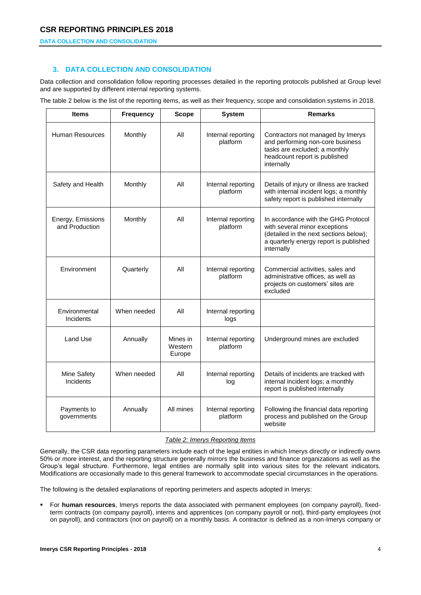### **DATA COLLECTION AND CONSOLIDATION**

# **3. DATA COLLECTION AND CONSOLIDATION**

Data collection and consolidation follow reporting processes detailed in the reporting protocols published at Group level and are supported by different internal reporting systems.

The table 2 below is the list of the reporting items, as well as their frequency, scope and consolidation systems in 2018.

| <b>Items</b>                        | <b>Frequency</b> | <b>Scope</b>                  | <b>System</b>                  | <b>Remarks</b>                                                                                                                                                         |
|-------------------------------------|------------------|-------------------------------|--------------------------------|------------------------------------------------------------------------------------------------------------------------------------------------------------------------|
| Human Resources                     | Monthly          | All                           | Internal reporting<br>platform | Contractors not managed by Imerys<br>and performing non-core business<br>tasks are excluded; a monthly<br>headcount report is published<br>internally                  |
| Safety and Health                   | Monthly          | All                           | Internal reporting<br>platform | Details of injury or illness are tracked<br>with internal incident logs; a monthly<br>safety report is published internally                                            |
| Energy, Emissions<br>and Production | Monthly          | All                           | Internal reporting<br>platform | In accordance with the GHG Protocol<br>with several minor exceptions<br>(detailed in the next sections below);<br>a quarterly energy report is published<br>internally |
| Environment                         | Quarterly        | All                           | Internal reporting<br>platform | Commercial activities, sales and<br>administrative offices, as well as<br>projects on customers' sites are<br>excluded                                                 |
| Environmental<br>Incidents          | When needed      | All                           | Internal reporting<br>logs     |                                                                                                                                                                        |
| Land Use                            | Annually         | Mines in<br>Western<br>Europe | Internal reporting<br>platform | Underground mines are excluded                                                                                                                                         |
| Mine Safety<br>Incidents            | When needed      | All                           | Internal reporting<br>log      | Details of incidents are tracked with<br>internal incident logs; a monthly<br>report is published internally                                                           |
| Payments to<br>governments          | Annually         | All mines                     | Internal reporting<br>platform | Following the financial data reporting<br>process and published on the Group<br>website                                                                                |

## *Table 2: Imerys Reporting Items*

Generally, the CSR data reporting parameters include each of the legal entities in which Imerys directly or indirectly owns 50% or more interest, and the reporting structure generally mirrors the business and finance organizations as well as the Group's legal structure. Furthermore, legal entities are normally split into various sites for the relevant indicators. Modifications are occasionally made to this general framework to accommodate special circumstances in the operations.

The following is the detailed explanations of reporting perimeters and aspects adopted in Imerys:

 For **human resources**, Imerys reports the data associated with permanent employees (on company payroll), fixedterm contracts (on company payroll), interns and apprentices (on company payroll or not), third-party employees (not on payroll), and contractors (not on payroll) on a monthly basis. A contractor is defined as a non-Imerys company or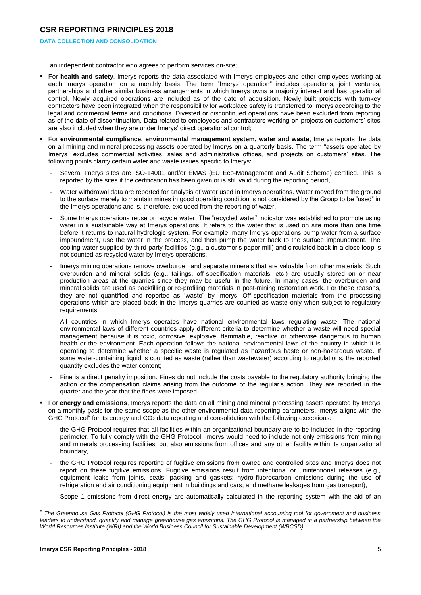#### **DATA COLLECTION AND CONSOLIDATION**

an independent contractor who agrees to perform services on-site;

- For **health and safety**, Imerys reports the data associated with Imerys employees and other employees working at each Imerys operation on a monthly basis. The term "Imerys operation" includes operations, joint ventures, partnerships and other similar business arrangements in which Imerys owns a majority interest and has operational control. Newly acquired operations are included as of the date of acquisition. Newly built projects with turnkey contractors have been integrated when the responsibility for workplace safety is transferred to Imerys according to the legal and commercial terms and conditions. Divested or discontinued operations have been excluded from reporting as of the date of discontinuation. Data related to employees and contractors working on projects on customers' sites are also included when they are under Imerys' direct operational control;
- For **environmental compliance, environmental management system, water and waste**, Imerys reports the data on all mining and mineral processing assets operated by Imerys on a quarterly basis. The term "assets operated by Imerys" excludes commercial activities, sales and administrative offices, and projects on customers' sites. The following points clarify certain water and waste issues specific to Imerys:
	- Several Imerys sites are ISO-14001 and/or EMAS (EU Eco-Management and Audit Scheme) certified. This is reported by the sites if the certification has been given or is still valid during the reporting period,
	- Water withdrawal data are reported for analysis of water used in Imerys operations. Water moved from the ground to the surface merely to maintain mines in good operating condition is not considered by the Group to be "used" in the Imerys operations and is, therefore, excluded from the reporting of water,
	- Some Imerys operations reuse or recycle water. The "recycled water" indicator was established to promote using water in a sustainable way at Imerys operations. It refers to the water that is used on site more than one time before it returns to natural hydrologic system. For example, many Imerys operations pump water from a surface impoundment, use the water in the process, and then pump the water back to the surface impoundment. The cooling water supplied by third-party facilities (e.g., a customer's paper mill) and circulated back in a close loop is not counted as recycled water by Imerys operations,
	- Imerys mining operations remove overburden and separate minerals that are valuable from other materials. Such overburden and mineral solids (e.g., tailings, off-specification materials, etc.) are usually stored on or near production areas at the quarries since they may be useful in the future. In many cases, the overburden and mineral solids are used as backfilling or re-profiling materials in post-mining restoration work. For these reasons, they are not quantified and reported as "waste" by Imerys. Off-specification materials from the processing operations which are placed back in the Imerys quarries are counted as waste only when subject to regulatory requirements,
	- All countries in which Imerys operates have national environmental laws regulating waste. The national environmental laws of different countries apply different criteria to determine whether a waste will need special management because it is toxic, corrosive, explosive, flammable, reactive or otherwise dangerous to human health or the environment. Each operation follows the national environmental laws of the country in which it is operating to determine whether a specific waste is regulated as hazardous haste or non-hazardous waste. If some water-containing liquid is counted as waste (rather than wastewater) according to regulations, the reported quantity excludes the water content;
	- Fine is a direct penalty imposition. Fines do not include the costs payable to the regulatory authority bringing the action or the compensation claims arising from the outcome of the regular's action. They are reported in the quarter and the year that the fines were imposed.
- For **energy and emissions**, Imerys reports the data on all mining and mineral processing assets operated by Imerys on a monthly basis for the same scope as the other environmental data reporting parameters. Imerys aligns with the GHG Protocol<sup>2</sup> for its energy and  $CO<sub>2</sub>$  data reporting and consolidation with the following exceptions:
	- the GHG Protocol requires that all facilities within an organizational boundary are to be included in the reporting perimeter. To fully comply with the GHG Protocol, Imerys would need to include not only emissions from mining and minerals processing facilities, but also emissions from offices and any other facility within its organizational boundary,
	- the GHG Protocol requires reporting of fugitive emissions from owned and controlled sites and Imerys does not report on these fugitive emissions. Fugitive emissions result from intentional or unintentional releases (e.g., equipment leaks from joints, seals, packing and gaskets; hydro-fluorocarbon emissions during the use of refrigeration and air conditioning equipment in buildings and cars; and methane leakages from gas transport),
	- Scope 1 emissions from direct energy are automatically calculated in the reporting system with the aid of an

 *2 The Greenhouse Gas Protocol (GHG Protocol) is the most widely used international accounting tool for government and business leaders to understand, quantify and manage greenhouse gas emissions. The GHG Protocol is managed in a partnership between the World Resources Institute (WRI) and the World Business Council for Sustainable Development (WBCSD).*